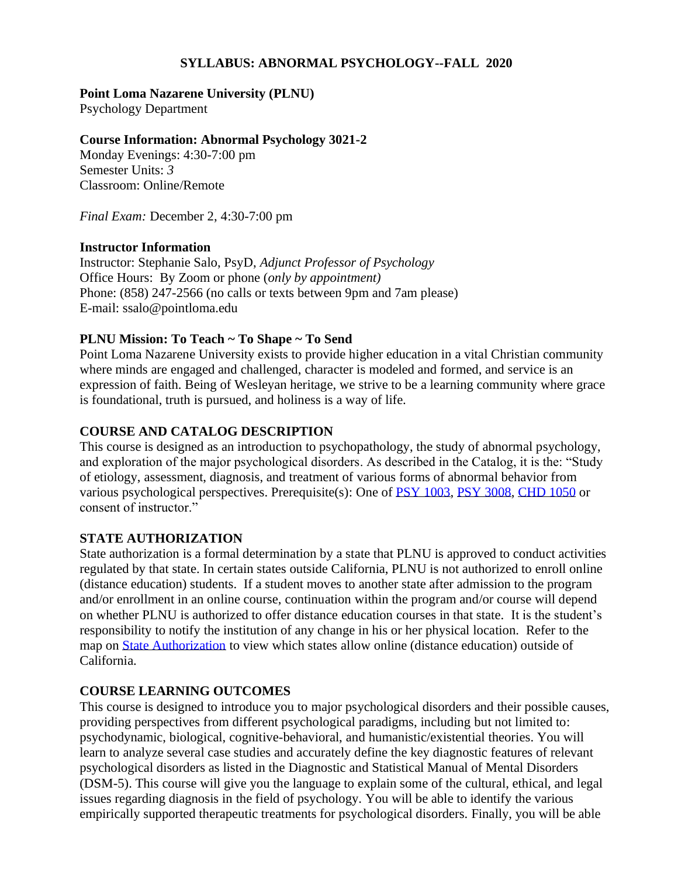#### **SYLLABUS: ABNORMAL PSYCHOLOGY--FALL 2020**

#### **Point Loma Nazarene University (PLNU)**

Psychology Department

#### **Course Information: Abnormal Psychology 3021-2**

Monday Evenings: 4:30-7:00 pm Semester Units: *3* Classroom: Online/Remote

*Final Exam:* December 2, 4:30-7:00 pm

#### **Instructor Information**

Instructor: Stephanie Salo, PsyD, *Adjunct Professor of Psychology* Office Hours: By Zoom or phone (*only by appointment)* Phone: (858) 247-2566 (no calls or texts between 9pm and 7am please) E-mail: ssalo@pointloma.edu

#### **PLNU Mission: To Teach ~ To Shape ~ To Send**

Point Loma Nazarene University exists to provide higher education in a vital Christian community where minds are engaged and challenged, character is modeled and formed, and service is an expression of faith. Being of Wesleyan heritage, we strive to be a learning community where grace is foundational, truth is pursued, and holiness is a way of life.

## **COURSE AND CATALOG DESCRIPTION**

This course is designed as an introduction to psychopathology, the study of abnormal psychology, and exploration of the major psychological disorders. As described in the Catalog, it is the: "Study of etiology, assessment, diagnosis, and treatment of various forms of abnormal behavior from various psychological perspectives. Prerequisite(s): One of [PSY 1003,](https://catalog.pointloma.edu/search_advanced.php?cur_cat_oid=35&search_database=Search&search_db=Search&cpage=1&ecpage=1&ppage=1&spage=1&tpage=1&location=3&filter%5Bkeyword%5D=PSY321#tt7283) [PSY 3008,](https://catalog.pointloma.edu/search_advanced.php?cur_cat_oid=35&search_database=Search&search_db=Search&cpage=1&ecpage=1&ppage=1&spage=1&tpage=1&location=3&filter%5Bkeyword%5D=PSY321#tt3310) [CHD 1050](https://catalog.pointloma.edu/search_advanced.php?cur_cat_oid=35&search_database=Search&search_db=Search&cpage=1&ecpage=1&ppage=1&spage=1&tpage=1&location=3&filter%5Bkeyword%5D=PSY321#tt1004) or consent of instructor."

#### **STATE AUTHORIZATION**

State authorization is a formal determination by a state that PLNU is approved to conduct activities regulated by that state. In certain states outside California, PLNU is not authorized to enroll online (distance education) students. If a student moves to another state after admission to the program and/or enrollment in an online course, continuation within the program and/or course will depend on whether PLNU is authorized to offer distance education courses in that state. It is the student's responsibility to notify the institution of any change in his or her physical location. Refer to the map on [State Authorization](https://www.pointloma.edu/offices/office-institutional-effectiveness-research/disclosures) to view which states allow online (distance education) outside of California.

## **COURSE LEARNING OUTCOMES**

This course is designed to introduce you to major psychological disorders and their possible causes, providing perspectives from different psychological paradigms, including but not limited to: psychodynamic, biological, cognitive-behavioral, and humanistic/existential theories. You will learn to analyze several case studies and accurately define the key diagnostic features of relevant psychological disorders as listed in the Diagnostic and Statistical Manual of Mental Disorders (DSM-5). This course will give you the language to explain some of the cultural, ethical, and legal issues regarding diagnosis in the field of psychology. You will be able to identify the various empirically supported therapeutic treatments for psychological disorders. Finally, you will be able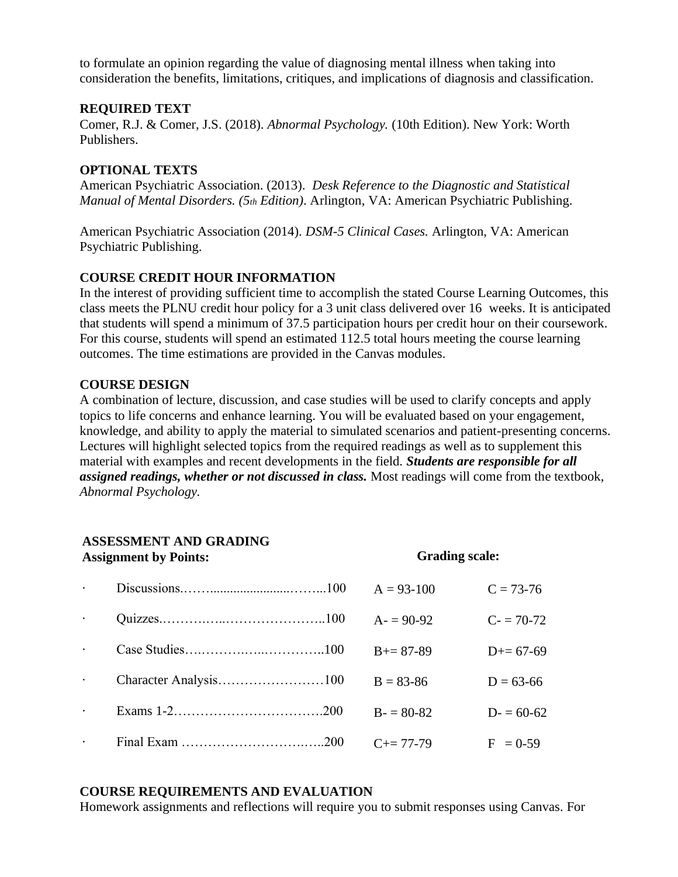to formulate an opinion regarding the value of diagnosing mental illness when taking into consideration the benefits, limitations, critiques, and implications of diagnosis and classification.

#### **REQUIRED TEXT**

Comer, R.J. & Comer, J.S. (2018). *Abnormal Psychology.* (10th Edition). New York: Worth Publishers.

## **OPTIONAL TEXTS**

American Psychiatric Association. (2013). *Desk Reference to the Diagnostic and Statistical Manual of Mental Disorders. (5th Edition)*. Arlington, VA: American Psychiatric Publishing.

American Psychiatric Association (2014). *DSM-5 Clinical Cases.* Arlington, VA: American Psychiatric Publishing.

## **COURSE CREDIT HOUR INFORMATION**

In the interest of providing sufficient time to accomplish the stated Course Learning Outcomes, this class meets the PLNU credit hour policy for a 3 unit class delivered over 16 weeks. It is anticipated that students will spend a minimum of 37.5 participation hours per credit hour on their coursework. For this course, students will spend an estimated 112.5 total hours meeting the course learning outcomes. The time estimations are provided in the Canvas modules.

## **COURSE DESIGN**

A combination of lecture, discussion, and case studies will be used to clarify concepts and apply topics to life concerns and enhance learning. You will be evaluated based on your engagement, knowledge, and ability to apply the material to simulated scenarios and patient-presenting concerns. Lectures will highlight selected topics from the required readings as well as to supplement this material with examples and recent developments in the field. *Students are responsible for all assigned readings, whether or not discussed in class.* Most readings will come from the textbook, *Abnormal Psychology.*

# **ASSESSMENT AND GRADING**

| <b>Assignment by Points:</b> |  | <b>Grading scale:</b> |             |
|------------------------------|--|-----------------------|-------------|
|                              |  | $A = 93 - 100$        | $C = 73-76$ |
|                              |  | $A = 90-92$           | $C = 70-72$ |
|                              |  | $B+=87-89$            | $D+= 67-69$ |
| $\bullet$                    |  | $B = 83 - 86$         | $D = 63-66$ |
|                              |  | $B = 80-82$           | $D = 60-62$ |
|                              |  | $C_{\pm} = 77 - 79$   | $F = 0.59$  |

## **COURSE REQUIREMENTS AND EVALUATION**

Homework assignments and reflections will require you to submit responses using Canvas. For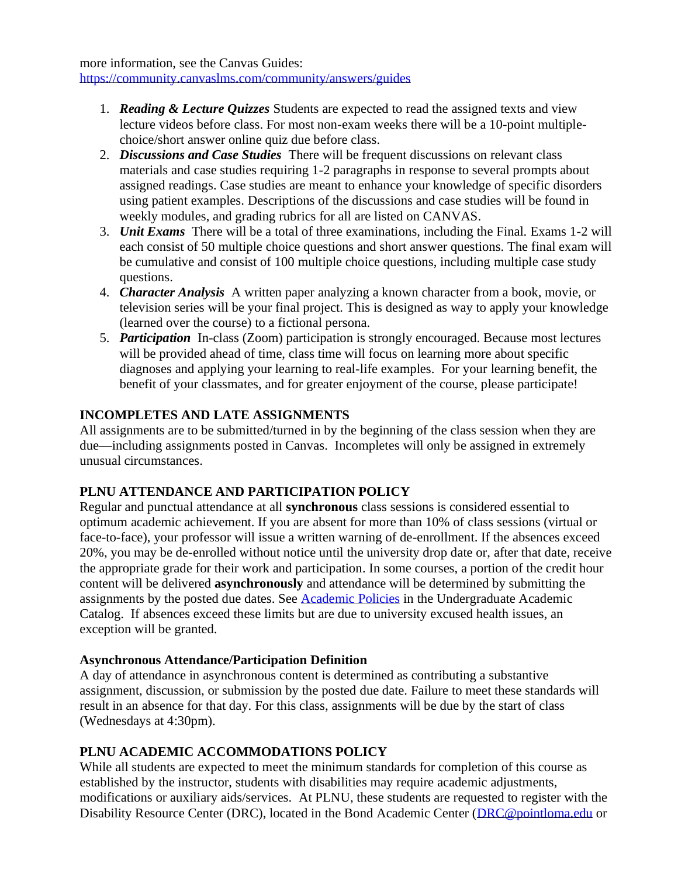more information, see the Canvas Guides: <https://community.canvaslms.com/community/answers/guides>

- 1. *Reading & Lecture Quizzes* Students are expected to read the assigned texts and view lecture videos before class. For most non-exam weeks there will be a 10-point multiplechoice/short answer online quiz due before class.
- 2. *Discussions and Case Studies* There will be frequent discussions on relevant class materials and case studies requiring 1-2 paragraphs in response to several prompts about assigned readings. Case studies are meant to enhance your knowledge of specific disorders using patient examples. Descriptions of the discussions and case studies will be found in weekly modules, and grading rubrics for all are listed on CANVAS.
- 3. *Unit Exams* There will be a total of three examinations, including the Final. Exams 1-2 will each consist of 50 multiple choice questions and short answer questions. The final exam will be cumulative and consist of 100 multiple choice questions, including multiple case study questions.
- 4. *Character Analysis* A written paper analyzing a known character from a book, movie, or television series will be your final project. This is designed as way to apply your knowledge (learned over the course) to a fictional persona.
- 5. *Participation* In-class (Zoom) participation is strongly encouraged. Because most lectures will be provided ahead of time, class time will focus on learning more about specific diagnoses and applying your learning to real-life examples. For your learning benefit, the benefit of your classmates, and for greater enjoyment of the course, please participate!

# **INCOMPLETES AND LATE ASSIGNMENTS**

All assignments are to be submitted/turned in by the beginning of the class session when they are due—including assignments posted in Canvas. Incompletes will only be assigned in extremely unusual circumstances.

# **PLNU ATTENDANCE AND PARTICIPATION POLICY**

Regular and punctual attendance at all **synchronous** class sessions is considered essential to optimum academic achievement. If you are absent for more than 10% of class sessions (virtual or face-to-face), your professor will issue a written warning of de-enrollment. If the absences exceed 20%, you may be de-enrolled without notice until the university drop date or, after that date, receive the appropriate grade for their work and participation. In some courses, a portion of the credit hour content will be delivered **asynchronously** and attendance will be determined by submitting the assignments by the posted due dates. See [Academic Policies](https://catalog.pointloma.edu/content.php?catoid=46&navoid=2650#Class_Attendance) in the Undergraduate Academic Catalog. If absences exceed these limits but are due to university excused health issues, an exception will be granted.

## **Asynchronous Attendance/Participation Definition**

A day of attendance in asynchronous content is determined as contributing a substantive assignment, discussion, or submission by the posted due date. Failure to meet these standards will result in an absence for that day. For this class, assignments will be due by the start of class (Wednesdays at 4:30pm).

## **PLNU ACADEMIC ACCOMMODATIONS POLICY**

While all students are expected to meet the minimum standards for completion of this course as established by the instructor, students with disabilities may require academic adjustments, modifications or auxiliary aids/services. At PLNU, these students are requested to register with the Disability Resource Center (DRC), located in the Bond Academic Center [\(DRC@pointloma.edu](mailto:DRC@pointloma.edu) or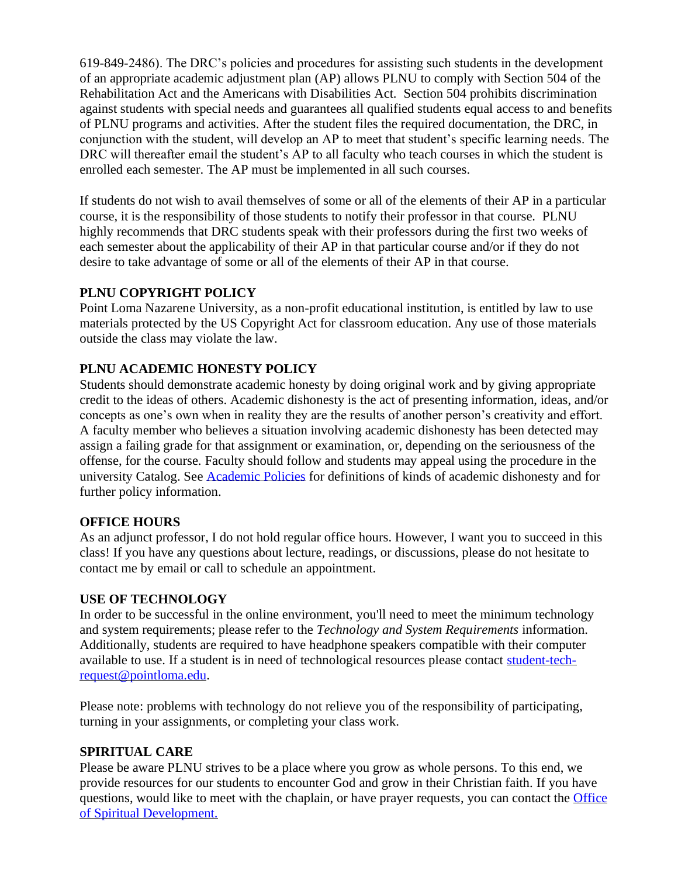619-849-2486). The DRC's policies and procedures for assisting such students in the development of an appropriate academic adjustment plan (AP) allows PLNU to comply with Section 504 of the Rehabilitation Act and the Americans with Disabilities Act. Section 504 prohibits discrimination against students with special needs and guarantees all qualified students equal access to and benefits of PLNU programs and activities. After the student files the required documentation, the DRC, in conjunction with the student, will develop an AP to meet that student's specific learning needs. The DRC will thereafter email the student's AP to all faculty who teach courses in which the student is enrolled each semester. The AP must be implemented in all such courses.

If students do not wish to avail themselves of some or all of the elements of their AP in a particular course, it is the responsibility of those students to notify their professor in that course. PLNU highly recommends that DRC students speak with their professors during the first two weeks of each semester about the applicability of their AP in that particular course and/or if they do not desire to take advantage of some or all of the elements of their AP in that course.

## **PLNU COPYRIGHT POLICY**

Point Loma Nazarene University, as a non-profit educational institution, is entitled by law to use materials protected by the US Copyright Act for classroom education. Any use of those materials outside the class may violate the law.

## **PLNU ACADEMIC HONESTY POLICY**

Students should demonstrate academic honesty by doing original work and by giving appropriate credit to the ideas of others. Academic dishonesty is the act of presenting information, ideas, and/or concepts as one's own when in reality they are the results of another person's creativity and effort. A faculty member who believes a situation involving academic dishonesty has been detected may assign a failing grade for that assignment or examination, or, depending on the seriousness of the offense, for the course. Faculty should follow and students may appeal using the procedure in the university Catalog. See [Academic Policies](https://catalog.pointloma.edu/content.php?catoid=41&navoid=2435#Academic_Honesty) for definitions of kinds of academic dishonesty and for further policy information.

## **OFFICE HOURS**

As an adjunct professor, I do not hold regular office hours. However, I want you to succeed in this class! If you have any questions about lecture, readings, or discussions, please do not hesitate to contact me by email or call to schedule an appointment.

## **USE OF TECHNOLOGY**

In order to be successful in the online environment, you'll need to meet the minimum technology and system requirements; please refer to the *[Technology and System Requirements](https://help.pointloma.edu/TDClient/1808/Portal/KB/ArticleDet?ID=108349)* information. Additionally, students are required to have headphone speakers compatible with their computer available to use. If a student is in need of technological resources please contact [student-tech](mailto:student-tech-request@pointloma.edu)[request@pointloma.edu.](mailto:student-tech-request@pointloma.edu)

Please note: problems with technology do not relieve you of the responsibility of participating, turning in your assignments, or completing your class work.

## **SPIRITUAL CARE**

Please be aware PLNU strives to be a place where you grow as whole persons. To this end, we provide resources for our students to encounter God and grow in their Christian faith. If you have questions, would like to meet with the chaplain, or have prayer requests, you can contact the [Office](https://www.pointloma.edu/offices/spiritual-development)  [of Spiritual Development.](https://www.pointloma.edu/offices/spiritual-development)